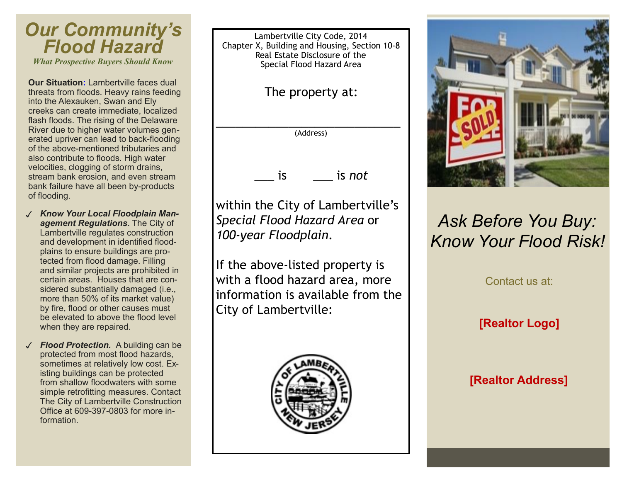## *Our Community's Flood Hazard What Prospective Buyers Should Know*

**Our Situation:** Lambertville faces dual threats from floods. Heavy rains feeding into the Alexauken, Swan and Ely creeks can create immediate, localized flash floods. The rising of the Delaware River due to higher water volumes generated upriver can lead to back-flooding of the above-mentioned tributaries and also contribute to floods. High water velocities, clogging of storm drains, stream bank erosion, and even stream bank failure have all been by-products of flooding.

- ✓ *Know Your Local Floodplain Management Regulations*. The City of Lambertville regulates construction and development in identified floodplains to ensure buildings are protected from flood damage. Filling and similar projects are prohibited in certain areas. Houses that are considered substantially damaged (i.e., more than 50% of its market value) by fire, flood or other causes must be elevated to above the flood level when they are repaired.
- *Flood Protection.* A building can be protected from most flood hazards, sometimes at relatively low cost. Existing buildings can be protected from shallow floodwaters with some simple retrofitting measures. Contact The City of Lambertville Construction Office at 609-397-0803 for more information.

Lambertville City Code, 2014 Chapter X, Building and Housing, Section 10-8 Real Estate Disclosure of the Special Flood Hazard Area

The property at:

\_\_\_\_\_\_\_\_\_\_\_\_\_\_\_\_\_\_\_\_\_\_\_\_\_\_\_\_ (Address)

\_\_\_ is \_\_\_ is *not*

within the City of Lambertville's *Special Flood Hazard Area* or *100-year Floodplain*.

If the above-listed property is with a flood hazard area, more information is available from the City of Lambertville:





## *Ask Before You Buy: Know Your Flood Risk!*

Contact us at:

**[Realtor Logo]**

**[Realtor Address]**